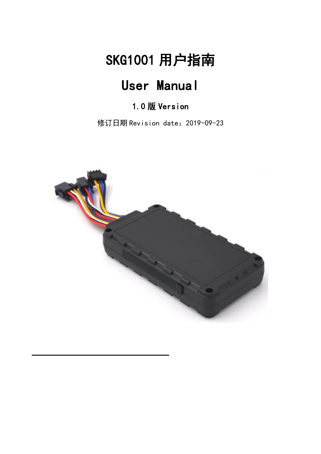# SKG1001 用户指南

# User Manual

## 1.0 版 Version

修订日期 Revision date:2019-09-23

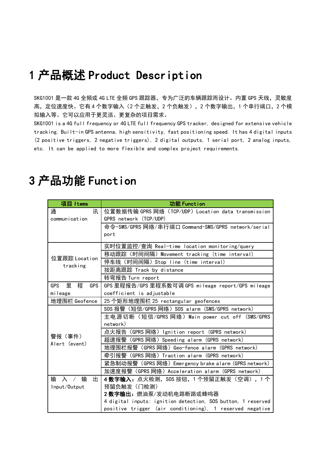## 1 产品概述 Product Description

SKG1001 是一款 4G 全频或 4G LTE 全频 GPS 跟踪器, 专为广泛的车辆跟踪而设计。内置 GPS 天线, 灵敏度 高,定位速度快。它有 4 个数字输入(2 个正触发,2 个负触发),2 个数字输出,1 个串行端口,2 个模 拟输入等。它可以应用于更灵活、更复杂的项目需求。

SKG1001 is a 4G full frequency or 4G LTE full frequency GPS tracker, designed for extensive vehicle tracking. Built-in GPS antenna, high sensitivity, fast positioning speed. It has 4 digital inputs (2 positive triggers, 2 negative triggers), 2 digital outputs, 1 serial port, 2 analog inputs, etc. It can be applied to more flexible and complex project requirements.

| 项目 Items                                             | 功能 Function                                                  |  |  |  |
|------------------------------------------------------|--------------------------------------------------------------|--|--|--|
| 通<br>讯                                               | 位置数据传输 GPRS 网络(TCP/UDP)Location data transmission            |  |  |  |
| communication                                        | GPRS network (TCP/UDP)                                       |  |  |  |
|                                                      | 命令-SMS/GPRS 网络/串行端口 Command-SMS/GPRS network/serial          |  |  |  |
|                                                      | port                                                         |  |  |  |
|                                                      | 实时位置监控/查询 Real-time location monitoring/query                |  |  |  |
|                                                      | 移动跟踪(时间间隔)Movement tracking (time interval)                  |  |  |  |
| 位置跟踪 Location<br>tracking                            | 停车线 (时间间隔) Stop line (time interval)                         |  |  |  |
|                                                      | 按距离跟踪 Track by distance                                      |  |  |  |
|                                                      | 转弯报告 Turn report                                             |  |  |  |
| 程<br>里<br><b>GPS</b><br><b>GPS</b>                   | GPS 里程报告/GPS 里程系数可调 GPS mileage report/GPS mileage           |  |  |  |
| mileage<br>coefficient is adjustable                 |                                                              |  |  |  |
| 地理围栏 Geofence<br>25 个矩形地理围栏 25 rectangular geofences |                                                              |  |  |  |
|                                                      | SOS 报警 (短信/GPRS 网络) SOS alarm (SMS/GPRS network)             |  |  |  |
|                                                      | 主电源切断(短信/GPRS 网络)Main power cut off(SMS/GPRS                 |  |  |  |
|                                                      | network)                                                     |  |  |  |
| 警报(事件)                                               | 点火报告(GPRS 网络)Ignition report(GPRS network)                   |  |  |  |
| Alert (event)                                        | 超速报警 (GPRS 网络) Speeding alarm (GPRS network)                 |  |  |  |
|                                                      | 地理围栏报警 (GPRS 网络) Geo-fence alarm (GPRS network)              |  |  |  |
|                                                      | 牵引报警(GPRS 网络)Traction alarm(GPRS network)                    |  |  |  |
|                                                      | 紧急制动报警(GPRS 网络)Emergency brake alarm(GPRS network)           |  |  |  |
|                                                      | 加速度报警 (GPRS 网络) Acceleration alarm (GPRS network)            |  |  |  |
| 输<br>输 入<br>出                                        | <b>4数字输入:</b> 点火检测,S0S 按钮,1 个预留正触发(空调),1 个                   |  |  |  |
| Input/Output                                         | 预留负触发(门检测)                                                   |  |  |  |
|                                                      | 2 数字输出: 燃油泵/发动机电路断路或蜂鸣器                                      |  |  |  |
|                                                      | 4 digital inputs: ignition detection, SOS button, 1 reserved |  |  |  |
|                                                      | positive trigger (air conditioning), 1 reserved negative     |  |  |  |

## 3 产品功能 Function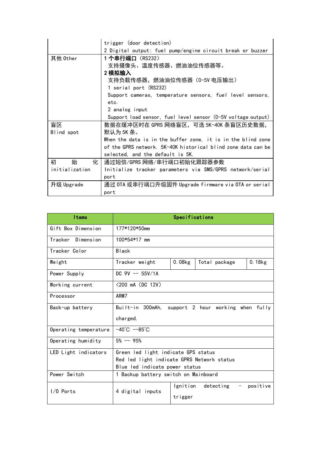|                | trigger (door detection)                                      |  |  |  |  |  |  |
|----------------|---------------------------------------------------------------|--|--|--|--|--|--|
|                | 2 Digital output: fuel pump/engine circuit break or buzzer    |  |  |  |  |  |  |
| 其他 0ther       | 1 个串行端口(RS232)                                                |  |  |  |  |  |  |
|                | 支持摄像头、温度传感器、燃油油位传感器等。                                         |  |  |  |  |  |  |
|                | 2 模拟输入                                                        |  |  |  |  |  |  |
|                | 支持负载传感器,燃油油位传感器(0-5V 电压输出)                                    |  |  |  |  |  |  |
|                | 1 serial port (RS232)                                         |  |  |  |  |  |  |
|                | Support cameras, temperature sensors, fuel level sensors,     |  |  |  |  |  |  |
|                | etc.                                                          |  |  |  |  |  |  |
|                | 2 analog input                                                |  |  |  |  |  |  |
|                | Support load sensor, fuel level sensor (0-5V voltage output)  |  |  |  |  |  |  |
| 盲区             | 数据在缓冲区时在 GPRS 网络盲区,可选 5K-40K 条盲区历史数据,                         |  |  |  |  |  |  |
| Blind spot     | 默认为 5K 条。                                                     |  |  |  |  |  |  |
|                | When the data is in the buffer zone, it is in the blind zone  |  |  |  |  |  |  |
|                | of the GPRS network. 5K-40K historical blind zone data can be |  |  |  |  |  |  |
|                | selected, and the default is 5K.                              |  |  |  |  |  |  |
| 初<br>始<br>化    | 通过短信/GPRS 网络/串行端口初始化跟踪器参数                                     |  |  |  |  |  |  |
| initialization | Initialize tracker parameters via SMS/GPRS network/serial     |  |  |  |  |  |  |
|                | port                                                          |  |  |  |  |  |  |
| 升级 Upgrade     | 通过 OTA 或串行端口升级固件 Upgrade firmware via OTA or serial           |  |  |  |  |  |  |
|                | port                                                          |  |  |  |  |  |  |

| <b>Items</b>          | Specifications                                                                                                      |        |               |           |  |
|-----------------------|---------------------------------------------------------------------------------------------------------------------|--------|---------------|-----------|--|
| Gift Box Dimension    | 177*120*50mm                                                                                                        |        |               |           |  |
| Dimension<br>Tracker  | 100*54*17 mm                                                                                                        |        |               |           |  |
| Tracker Color         | <b>Black</b>                                                                                                        |        |               |           |  |
| Weight                | Tracker weight                                                                                                      | 0.08kg | Total package | $0.18$ kg |  |
| Power Supply          | DC $9V$ -- 55V/1A                                                                                                   |        |               |           |  |
| Working current       | $<$ 200 mA (DC 12V)                                                                                                 |        |               |           |  |
| Processor             | ARM7                                                                                                                |        |               |           |  |
| Back-up battery       | Built-in 300mAh,<br>support 2 hour working when fully                                                               |        |               |           |  |
|                       | charged.                                                                                                            |        |               |           |  |
| Operating temperature | $-40^{\circ}$ C $-85^{\circ}$ C                                                                                     |        |               |           |  |
| Operating humidity    | $5\% - 95\%$                                                                                                        |        |               |           |  |
| LED Light indicators  | Green led light indicate GPS status<br>Red led light indicate GPRS Network status<br>Blue led indicate power status |        |               |           |  |
| Power Switch          | 1 Backup battery switch on Mainboard                                                                                |        |               |           |  |
| I/O Ports             | detecting<br>Ignition<br>positive<br>4 digital inputs<br>trigger                                                    |        |               |           |  |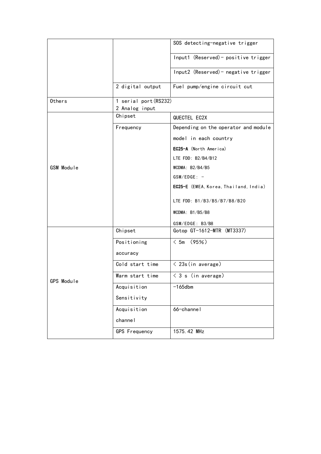|               |                                         | SOS detecting-negative trigger        |
|---------------|-----------------------------------------|---------------------------------------|
|               |                                         | Input1 (Reserved) - positive trigger  |
|               |                                         | Input2 (Reserved) - negative trigger  |
|               | 2 digital output                        | Fuel pump/engine circuit cut          |
| <b>Others</b> | 1 serial port (RS232)<br>2 Analog input |                                       |
|               | Chipset                                 | QUECTEL EC2X                          |
|               | Frequency                               | Depending on the operator and module  |
|               |                                         | model in each country                 |
|               |                                         | EC25-A (North America)                |
|               |                                         | LTE FDD: B2/B4/B12                    |
| GSM Module    |                                         | WCDMA: $B2/B4/B5$                     |
|               |                                         | $GSM/EDGE: -$                         |
|               |                                         | EC25-E (EMEA, Korea, Thailand, India) |
|               |                                         | LTE FDD: B1/B3/B5/B7/B8/B20           |
|               |                                         | WCDMA: $B1/B5/B8$                     |
|               |                                         | GSM/EDGE: B3/B8                       |
|               | Chipset                                 | Gotop GT-1612-MTR (MT3337)            |
|               | Positioning                             | $< 5m$ (95%)                          |
|               | accuracy                                |                                       |
|               | Cold start time                         | $\langle$ 23s (in average)            |
| GPS Module    | Warm start time                         | $\langle 3 \s$ (in average)           |
|               | Acquisition                             | $-165$ dbm                            |
|               | Sensitivity                             |                                       |
|               | Acquisition                             | 66-channel                            |
|               | channel                                 |                                       |
|               | <b>GPS Frequency</b>                    | 1575.42 MHz                           |
|               |                                         |                                       |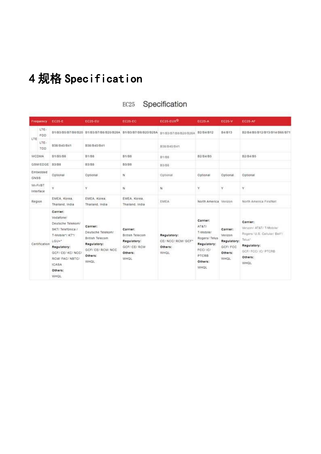# 4 规格 Specification

|              |                       | Frequency EC25-E                                                                                                                                                                            | <b>EC25-EU</b>                                                                                          | <b>EC25-EC</b>                                                                              | $EC25$ -EUX <sup>ID</sup>                                   | <b>EC25-A</b>                                                                                                        | <b>EC25-V</b>                                                            | <b>EC25-AF</b>                                                                                                                           |
|--------------|-----------------------|---------------------------------------------------------------------------------------------------------------------------------------------------------------------------------------------|---------------------------------------------------------------------------------------------------------|---------------------------------------------------------------------------------------------|-------------------------------------------------------------|----------------------------------------------------------------------------------------------------------------------|--------------------------------------------------------------------------|------------------------------------------------------------------------------------------------------------------------------------------|
| LTE:         | LTE-<br>FDD           |                                                                                                                                                                                             |                                                                                                         | 81/83/85/87/88/820 81/83/87/88/820/828A B1/83/87/88/820/828A                                | B1/B3/B7/B8/B20/B28A                                        | B2/B4/B12                                                                                                            | <b>B4/B13</b>                                                            | B2/B4/B5/B12/B13/B14/B66/B71                                                                                                             |
|              | LTE-<br>TOD           | B38/B40/B41                                                                                                                                                                                 | B38/B40/B41                                                                                             |                                                                                             | B38/B40/B41                                                 |                                                                                                                      |                                                                          |                                                                                                                                          |
| <b>WCDMA</b> |                       | B1/B5/B8                                                                                                                                                                                    | <b>B1/B8</b>                                                                                            | B1/B8                                                                                       | B1/B8                                                       | B2/B4/B5                                                                                                             |                                                                          | B2/B4/B5                                                                                                                                 |
|              | GSM/EDGE              | <b>B3/B8</b>                                                                                                                                                                                | <b>B3/BB</b>                                                                                            | <b>B3/B8</b>                                                                                | <b>B3/B8</b>                                                |                                                                                                                      |                                                                          |                                                                                                                                          |
| GNSS:        | Embedded              | Optional                                                                                                                                                                                    | Optional                                                                                                | N                                                                                           | Optional                                                    | Optional                                                                                                             | Optional                                                                 | Optional                                                                                                                                 |
|              | WI-FI/BT<br>interface | Ÿ                                                                                                                                                                                           | Ÿ                                                                                                       | N.                                                                                          | N                                                           | Ÿ                                                                                                                    | v.                                                                       | γ.                                                                                                                                       |
| Region       |                       | EMEA, Korea.<br>Thailand, India                                                                                                                                                             | EMEA, Korea.<br>Thailand, India                                                                         | EMEA, Korea.<br>Thailand, India                                                             | <b>EMEA</b>                                                 | North America. Verizon                                                                                               |                                                                          | North America FirstNet                                                                                                                   |
|              | Certification         | Carrier:<br>Vodafone/<br>Deutsche Telekom/<br>SKT/Telefónica /<br>T-Mobile"/ KT"/<br>LGU+*<br>Regulatory:<br>GCF/ CE/ KC/ NCC/<br>RCM! FAC/ NBTC/<br><b>ICASA</b><br>Others:<br><b>WHOL</b> | Carrier:<br>Deutsche Telekom/<br>British Telecom<br>Regulatory:<br>GCF/ CE/ RCM/ NCC<br>Others:<br>WHOL | Carrier:<br><b>British Telecom</b><br>Regulatory:<br><b>GCF/ CE/ RCM</b><br>Others:<br>WHOL | Regulatory:<br>CE/ NCC/ RCM/ GCF*<br>Others:<br><b>WHOL</b> | Carrier:<br>AT&T/<br>T-Mobile/<br>Rogers/ Telus<br>Regulatory:<br>FCC/ IC/<br><b>PTCRB</b><br>Others:<br><b>WHOL</b> | Carrier:<br>Verizon<br>Regulatory:<br>GCF/ FCC<br>Others:<br><b>WHOL</b> | Carrier:<br>Verizon/ AT&T/ T-Mobile/<br>Rogers/ U.S. Cellular/ Belt*/<br>Tehus*<br>Regulatory:<br>GCF/ FCC/ IC/ PTCRB<br>Others:<br>WHOL |

#### Specification  $EC25$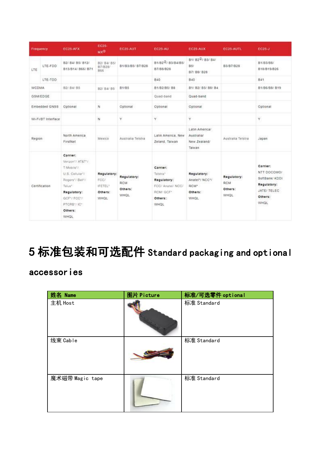|              | Frequency          | <b>EC25-AFX</b>                                                                                                                                            | EC25-<br>MX <sup>CD</sup>                         | <b>EC25-AUT</b>                              | <b>EC25-AU</b>                                                                                         | EC25-AUX                                                 | EC25-AUTL                                    | EC25-J                                                                                     |
|--------------|--------------------|------------------------------------------------------------------------------------------------------------------------------------------------------------|---------------------------------------------------|----------------------------------------------|--------------------------------------------------------------------------------------------------------|----------------------------------------------------------|----------------------------------------------|--------------------------------------------------------------------------------------------|
| LTE          | LTE-FDD            | B2/ B4/ B5/ B12/<br>B13/B14/ B66/ B71                                                                                                                      | B2/ B4/ B5/<br>B7/B28/<br><b>B66</b>              | B1/B3/B5/ B7/B28                             | B1/B2 <sup>2</sup> / 83/B4/B5/<br>B7/B8/B28                                                            | B1/ B2 <sup>2</sup> / B3/ B4/<br>85/<br>B7/ B8/ B28      | 83/87/828                                    | B1/B3/B8/<br>B18/B19/B26                                                                   |
|              | LTE-TOD            |                                                                                                                                                            |                                                   |                                              | <b>B40</b>                                                                                             | 840                                                      |                                              | 841                                                                                        |
| <b>WCDMA</b> |                    | B2/ B4/ B5                                                                                                                                                 | B2/ B4/ B5                                        | <b>B1/B5</b>                                 | B1/B2/B5/ B8                                                                                           | B1/ B2/ B5/ B8/ B4                                       |                                              | B1/B6/B8/ B19                                                                              |
|              | <b>GSM/EDGE</b>    |                                                                                                                                                            |                                                   |                                              | Quad-band                                                                                              | Quad-band                                                |                                              |                                                                                            |
|              | Embedded GNSS      | Optional                                                                                                                                                   | Ń                                                 | Optional                                     | Optional                                                                                               | Optional                                                 |                                              | Optional                                                                                   |
|              | WI-FI/BT Interface |                                                                                                                                                            | Ń                                                 | Ÿ                                            | Y.                                                                                                     | Ÿ.                                                       |                                              | Ÿ                                                                                          |
| Region       |                    | North America<br>FirstNet                                                                                                                                  | Mexico                                            | Australia Telstra                            | Latin America, New<br>Zeland, Taiwan                                                                   | Latin America/<br>Australia/<br>New Zealand/<br>Taiwan   | Australia Telstra                            | Japan                                                                                      |
|              | Certification      | Carrier:<br>Verizon*/'AT&T*/<br>T-Mobile"/<br>U.S. Cellular*/<br>Rogers*/ Bell*/<br>Talus"<br>Regulatory:<br>GCF*/ FCC*/<br>PTCRB'/ IC*<br>Others:<br>WHOL | Regulatory:<br>FCC/<br>IFFTFL*<br>Others:<br>WHOL | Regulatory:<br>RCM<br>Others:<br><b>WHOL</b> | Carrier:<br>Telatra"<br>Regulatory:<br><b>FCC/ Anatel/ NCC/</b><br>RCM/ GCF*<br>Others:<br><b>WHOL</b> | Regulatory:<br>Anatel*/ NCC*/<br>RCM*<br>Others:<br>WHOL | Regulatory:<br>RCM<br>Others:<br><b>WHOL</b> | Carrier:<br>NTT DOCOMO/<br>SoftBank/ KDDI<br>Regulatory:<br>JATE/ TELEC<br>Others:<br>WHOL |

# 5 标准包装和可选配件 Standard packaging and optional

## accessories

| 姓名 Name         | 图片 Picture | 标准/可选零件 optional |
|-----------------|------------|------------------|
| 主机 Host         |            | 标准 Standard      |
| 线束 Cable        |            | 标准 Standard      |
| 魔术磁带 Magic tape |            | 标准 Standard      |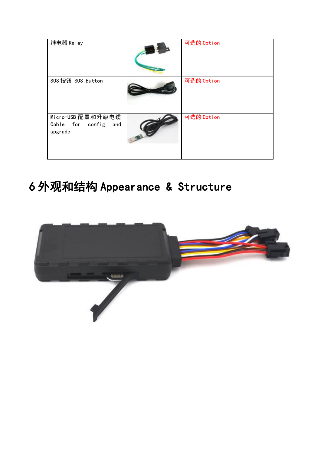| 继电器 Relay                                               | 可选的 Option |  |
|---------------------------------------------------------|------------|--|
| SOS 按钮 SOS Button                                       | 可选的 Option |  |
| Micro-USB 配置和升级电缆<br>Cable for config<br>and<br>upgrade | 可选的 Option |  |

# 6 外观和结构 Appearance & Structure

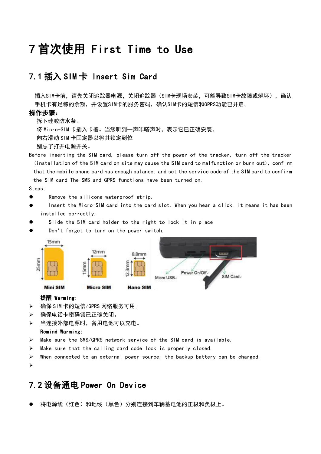## 7 首次使用 First Time to Use

#### 7.1 插入 SIM 卡 Insert Sim Card

插入SIM卡前,请先关闭追踪器电源,关闭追踪器(SIM卡现场安装,可能导致SIM卡故障或烧坏),确认 手机卡有足够的余额,并设置SIM卡的服务密码,确认SIM卡的短信和GPRS功能已开启。

#### 操作步骤:

拆下硅胶防水条。

将 Micro-SIM 卡插入卡槽。当您听到一声咔嗒声时, 表示它已正确安装。

向右滑动 SIM 卡固定器以将其锁定到位

别忘了打开电源开关。

Before inserting the SIM card, please turn off the power of the tracker, turn off the tracker (installation of the SIM card on site may cause the SIM card to malfunction or burn out), confirm that the mobile phone card has enough balance, and set the service code of the SIM card to confirm the SIM card The SMS and GPRS functions have been turned on.

Steps:

- **•** Remove the silicone waterproof strip.
- Insert the Micro-SIM card into the card slot. When you hear a click, it means it has been installed correctly.
- Slide the SIM card holder to the right to lock it in place
- Don't forget to turn on the power switch.



#### 提醒 Warming:

- 确保 SIM 卡的短信/GPRS 网络服务可用。
- 确保电话卡密码锁已正确关闭。
- 当连接外部电源时,备用电池可以充电。

#### Remind Warming:

- Make sure the SMS/GPRS network service of the SIM card is available.
- $\triangleright$  Make sure that the calling card code lock is properly closed.
- $\triangleright$  When connected to an external power source, the backup battery can be charged.

#### 7.2 设备通电 Power On Device

将电源线(红色)和地线(黑色)分别连接到车辆蓄电池的正极和负极上。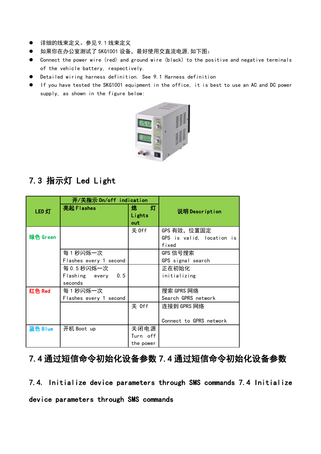- 详细的线束定义。参见 9.1 线束定义
- 如果你在办公室测试了 SKG1001 设备, 最好使用交直流电源, 如下图:
- Connect the power wire (red) and ground wire (black) to the positive and negative terminals of the vehicle battery, respectively.
- Detailed wiring harness definition. See 9.1 Harness definition
- If you have tested the SKG1001 equipment in the office, it is best to use an AC and DC power supply, as shown in the figure below:



## 7.3 指示灯 Led Light

|          | 开/关指示 On/off indication |           |                           |  |
|----------|-------------------------|-----------|---------------------------|--|
| LED 灯    | 亮起 Flashes              | 灯<br>熄    | 说明 Description            |  |
|          |                         | Lights    |                           |  |
|          |                         | out       |                           |  |
|          |                         | 关 0ff     | GPS 有效,位置固定               |  |
| 绿色 Green |                         |           | GPS is valid, location is |  |
|          |                         |           | fixed                     |  |
|          | 每1秒闪烁一次                 |           | GPS 信号搜索                  |  |
|          | Flashes every 1 second  |           | GPS signal search         |  |
|          | 每 0.5 秒闪烁一次             |           | 正在初始化                     |  |
|          | Flashing every<br>0.5   |           | initializing              |  |
|          | seconds                 |           |                           |  |
| 红色 Red   | 每 1 秒闪烁一次               |           | 搜索 GPRS 网络                |  |
|          | Flashes every 1 second  |           | Search GPRS network       |  |
|          |                         | 关 Off     | 连接到 GPRS 网络               |  |
|          |                         |           |                           |  |
|          |                         |           | Connect to GPRS network   |  |
| 蓝色 Blue  | 开机 Boot up              | 关闭电源      |                           |  |
|          |                         | Turn off  |                           |  |
|          |                         | the power |                           |  |

## 7.4 通过短信命令初始化设备参数 7.4 通过短信命令初始化设备参数

7.4. Initialize device parameters through SMS commands 7.4 Initialize device parameters through SMS commands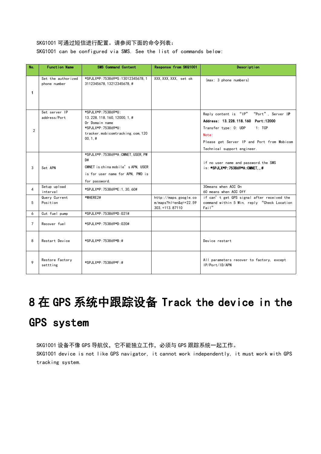#### SKG1001 可通过短信进行配置。请参阅下面的命令列表:

SKG1001 can be configured via SMS. See the list of commands below:

| No.            | <b>Function Name</b>               | <b>SMS Command Content</b>                                                                                                                      | Response from SKG1001                                                                           | Description                                                                                                                                                                                            |
|----------------|------------------------------------|-------------------------------------------------------------------------------------------------------------------------------------------------|-------------------------------------------------------------------------------------------------|--------------------------------------------------------------------------------------------------------------------------------------------------------------------------------------------------------|
| $\mathbf{1}$   | Set the authorized<br>phone number | *SPJLX*P: 753869*S: 13012345678.1<br>3112345678.13212345678.#                                                                                   | XXX. XXX. XXX. set ok                                                                           | (max: 3 phone numbers)                                                                                                                                                                                 |
| $\overline{2}$ | Set server IP<br>address/Port      | *SPJLX*P: 753869*U:<br>13. 228. 118. 160, 12000, 1, #<br>Or Domain name<br>*SPJLX*P: 753869*U:<br>tracker.mobicomtracking.com, 120<br>$00.1$ .# |                                                                                                 | Reply content is "IP" "Port", Server IP<br>Address: 13.228.118.160 Port:12000<br>Transfer type: 0: UDP<br>1: TCP<br>Note:<br>Please get Server IP and Port from Mobicom<br>Technical support engineer. |
| 3              | Set APN                            | *SPJLX*P: 753869*A: CMNET, USER, PW<br>D#<br>CMNET is china mobile's APN. USER<br>is for user name for APN. PWD is<br>for password.             |                                                                                                 | if no user name and password, the SMS<br>is: *SPJLX*P:753869*A:CMNET#                                                                                                                                  |
| 4              | Setup upload<br>interval           | *SPJLX*P: 753869*E: 1, 30, 60#                                                                                                                  |                                                                                                 | 30 means when ACC On<br>60 means when ACC Off                                                                                                                                                          |
| 5              | Query Current<br>Position          | *WHERE2#                                                                                                                                        | $\ensuremath{\mathsf{http://maps.}}$ google.co<br>$m/maps?h1 = en&q=+22.59$<br>303, +113. 87110 | if can't get GPS signal after received the<br>command within 5 Min, reply "Check Location<br>Fail"                                                                                                     |
| 6              | Cut fuel pump                      | *SPJLX*P:753869*D:021#                                                                                                                          |                                                                                                 |                                                                                                                                                                                                        |
| $\overline{7}$ | Recover fuel                       | *SPJLX*P:753869*D:020#                                                                                                                          |                                                                                                 |                                                                                                                                                                                                        |
| 8              | Restart Device                     | *SPJLX*P: 753869*B: #                                                                                                                           |                                                                                                 | Device restart                                                                                                                                                                                         |
| 9              | Restore Factory<br>settting        | *SPJLX*P: 753869*F: #                                                                                                                           |                                                                                                 | All parameters recover to factory, except<br>IP/Port/ID/APN                                                                                                                                            |

# 8 在 GPS 系统中跟踪设备 Track the device in the GPS system

SKG1001 设备不像 GPS 导航仪, 它不能独立工作, 必须与 GPS 跟踪系统一起工作。 SKG1001 device is not like GPS navigator, it cannot work independently, it must work with GPS tracking system.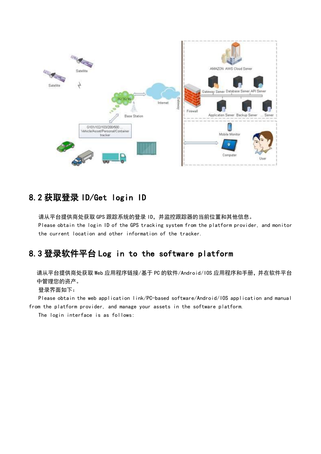

### 8.2 获取登录 ID/Get login ID

请从平台提供商处获取 GPS 跟踪系统的登录 ID,并监控跟踪器的当前位置和其他信息。 Please obtain the login ID of the GPS tracking system from the platform provider, and monitor the current location and other information of the tracker.

### 8.3 登录软件平台 Log in to the software platform

请从平台提供商处获取 Web 应用程序链接/基于 PC 的软件/Android/IOS 应用程序和手册,并在软件平台 中管理您的资产。

登录界面如下:

Please obtain the web application link/PC-based software/Android/IOS application and manual from the platform provider, and manage your assets in the software platform.

The login interface is as follows: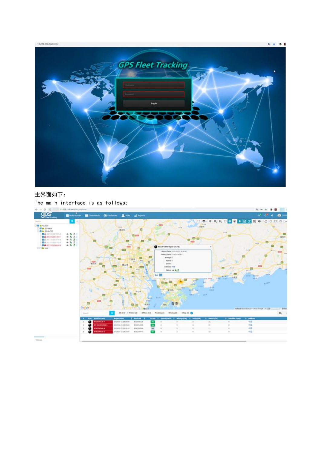$13.228.118.560.0012$ 



#### 主界面如下:

The main interface is as follows:<br> $\longleftrightarrow$  c  $\leftarrow$  manuscriptions

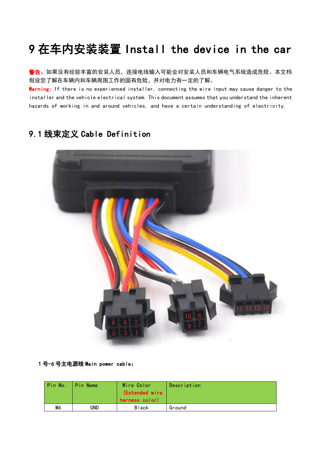# 9 在车内安装装置 Install the device in the car

**警告:**如果没有经验丰富的安装人员,连接电线输入可能会对安装人员和车辆电气系统造成危险。本文档 假设您了解在车辆内和车辆周围工作的固有危险,并对电力有一定的了解。

Warning: If there is no experienced installer, connecting the wire input may cause danger to the installer and the vehicle electrical system. This document assumes that you understand the inherent hazards of working in and around vehicles, and have a certain understanding of electricity.

## 9.1 线束定义 Cable Definition



1 号-6 号主电源线 Main power cable:

| Pin No. | Pin Name | Wire Color<br>(Extended wire<br>harness color) | Description |
|---------|----------|------------------------------------------------|-------------|
| M6      | GND      | <b>Black</b>                                   | Ground      |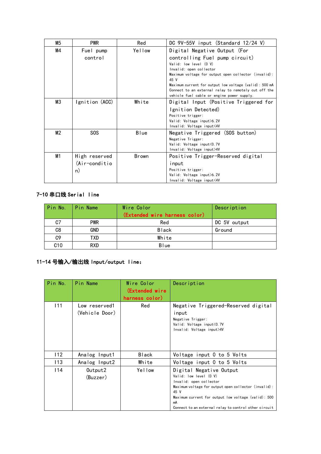|                               | M5 | <b>PWR</b>                   | Red                                   | DC $9V-55V$ input (Standard 12/24 V)                         |
|-------------------------------|----|------------------------------|---------------------------------------|--------------------------------------------------------------|
|                               | M4 | Fuel pump                    | Yellow                                | Digital Negative Output (For                                 |
|                               |    | control                      |                                       | controlling Fuel pump circuit)                               |
|                               |    |                              |                                       | Valid: low level (0 V)                                       |
|                               |    |                              |                                       | Invalid: open collector                                      |
|                               |    |                              |                                       | Maximum voltage for output open collector (invalid):<br>45 V |
|                               |    |                              |                                       | Maximum current for output low voltage (valid): 500 mA       |
|                               |    |                              |                                       | Connect to an external relay to remotely cut off the         |
|                               |    |                              |                                       | vehicle fuel cable or engine power supply.                   |
| MЗ<br>Ignition (ACC)<br>White |    |                              | Digital Input (Positive Triggered for |                                                              |
|                               |    |                              |                                       | Ignition Detected)                                           |
|                               |    |                              |                                       | Positive trigger:                                            |
|                               |    |                              |                                       | Valid: Voltage input>6.2V                                    |
|                               |    |                              |                                       | Invalid: Voltage input<4V                                    |
|                               | M2 | SOS                          | Blue                                  | Negative Triggered (SOS button)                              |
|                               |    |                              |                                       | Negative Trigger:                                            |
|                               |    |                              |                                       | Valid: Voltage input < 0.7V                                  |
|                               |    |                              |                                       | Invalid: Voltage input>4V                                    |
|                               |    | M1<br>High reserved<br>Brown |                                       | Positive Trigger-Reserved digital                            |
|                               |    | (Air-conditio                |                                       | input                                                        |
|                               |    | n)                           |                                       | Positive trigger:                                            |
|                               |    |                              |                                       | Valid: Voltage input>6.2V                                    |
|                               |    |                              |                                       | Invalid: Voltage input<4V                                    |

#### 7-10 串口线 Serial line

| Pin No. | Pin Name   | Wire Color                    | Description  |
|---------|------------|-------------------------------|--------------|
|         |            | (Extended wire harness color) |              |
| C7      | <b>PWR</b> | Red                           | DC 5V output |
| C8      | <b>GND</b> | <b>Black</b>                  | Ground       |
| C9      | TXD        | White                         |              |
| C10     | <b>RXD</b> | <b>B</b> lue                  |              |

#### 11-14 号输入/输出线 Input/output line:

| Pin No. | Pin Name                        | Wire Color<br>(Extended wire<br>harness color) | Description                                                                                                                                                                                                                                                        |
|---------|---------------------------------|------------------------------------------------|--------------------------------------------------------------------------------------------------------------------------------------------------------------------------------------------------------------------------------------------------------------------|
| 111     | Low reserved1<br>(Vehicle Door) | Red                                            | Negative Triggered-Reserved digital<br>input<br>Negative Trigger:<br>Valid: Voltage input<0.7V<br>Invalid: Voltage input>4V                                                                                                                                        |
| 112     | Analog Input1                   | Black                                          | Voltage input 0 to 5 Volts                                                                                                                                                                                                                                         |
| 113     | Analog Input2                   | White                                          | Voltage input 0 to 5 Volts                                                                                                                                                                                                                                         |
| 114     | Output2<br>(Buzzer)             | Yellow                                         | Digital Negative Output<br>Valid: low level (0 V)<br>Invalid: open collector<br>Maximum voltage for output open collector (invalid):<br>45 V<br>Maximum current for output low voltage (valid): 500<br>mA<br>Connect to an external relay to control other circuit |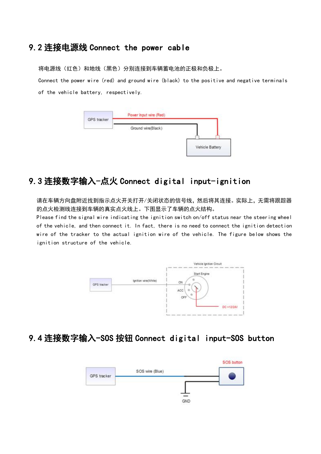#### 9.2 连接电源线 Connect the power cable

将电源线(红色)和地线(黑色)分别连接到车辆蓄电池的正极和负极上。

Connect the power wire (red) and ground wire (black) to the positive and negative terminals of the vehicle battery, respectively.

| GPS tracker         | Power Input wire (Red) |  |  |  |
|---------------------|------------------------|--|--|--|
| こうそう いっぱい きょうふん スパン | Ground wire(Black)     |  |  |  |
|                     |                        |  |  |  |

### 9.3 连接数字输入-点火 Connect digital input-ignition

请在车辆方向盘附近找到指示点火开关打开/关闭状态的信号线,然后将其连接。实际上,无需将跟踪器 的点火检测线连接到车辆的真实点火线上。下图显示了车辆的点火结构。

Please find the signal wire indicating the ignition switch on/off status near the steering wheel of the vehicle, and then connect it. In fact, there is no need to connect the ignition detection wire of the tracker to the actual ignition wire of the vehicle. The figure below shows the ignition structure of the vehicle.



#### 9.4 连接数字输入-SOS 按钮 Connect digital input-SOS button